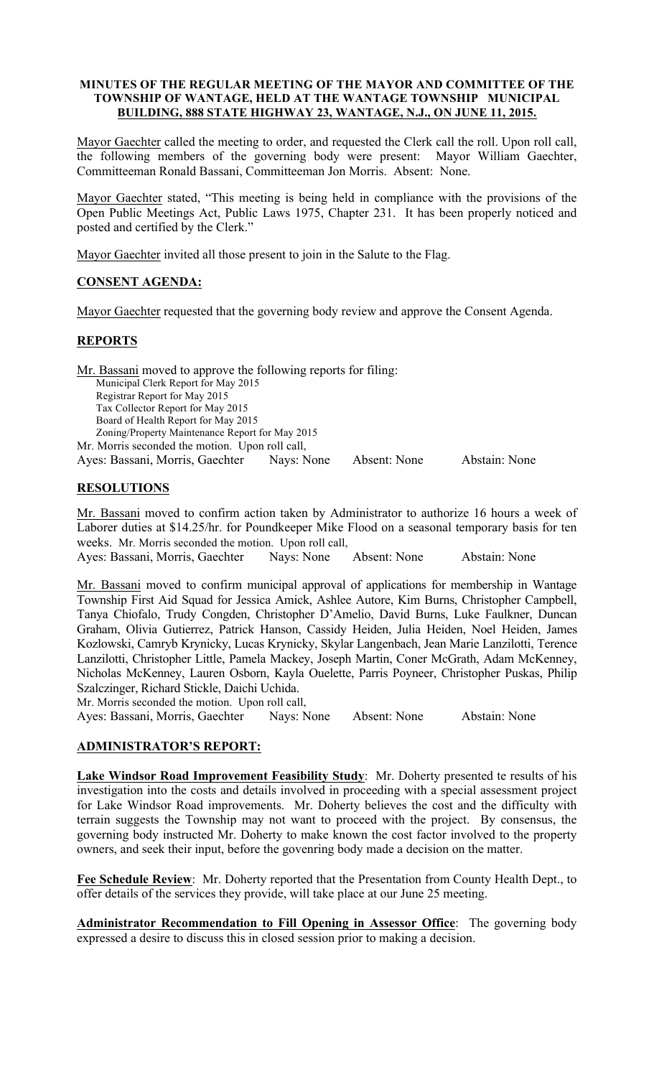#### MINUTES OF THE REGULAR MEETING OF THE MAYOR AND COMMITTEE OF THE TOWNSHIP OF WANTAGE, HELD AT THE WANTAGE TOWNSHIP MUNICIPAL BUILDING, 888 STATE HIGHWAY 23, WANTAGE, N.J., ON JUNE 11, 2015.

Mayor Gaechter called the meeting to order, and requested the Clerk call the roll. Upon roll call, the following members of the governing body were present: Mayor William Gaechter, Committeeman Ronald Bassani, Committeeman Jon Morris. Absent: None.

Mayor Gaechter stated, "This meeting is being held in compliance with the provisions of the Open Public Meetings Act, Public Laws 1975, Chapter 231. It has been properly noticed and posted and certified by the Clerk."

Mayor Gaechter invited all those present to join in the Salute to the Flag.

# CONSENT AGENDA:

Mayor Gaechter requested that the governing body review and approve the Consent Agenda.

# REPORTS

Mr. Bassani moved to approve the following reports for filing: Municipal Clerk Report for May 2015 Registrar Report for May 2015 Tax Collector Report for May 2015 Board of Health Report for May 2015 Zoning/Property Maintenance Report for May 2015 Mr. Morris seconded the motion. Upon roll call, Ayes: Bassani, Morris, Gaechter Nays: None Absent: None Abstain: None

### RESOLUTIONS

Mr. Bassani moved to confirm action taken by Administrator to authorize 16 hours a week of Laborer duties at \$14.25/hr. for Poundkeeper Mike Flood on a seasonal temporary basis for ten weeks. Mr. Morris seconded the motion. Upon roll call,

Ayes: Bassani, Morris, Gaechter Nays: None Absent: None Abstain: None

Mr. Bassani moved to confirm municipal approval of applications for membership in Wantage Township First Aid Squad for Jessica Amick, Ashlee Autore, Kim Burns, Christopher Campbell, Tanya Chiofalo, Trudy Congden, Christopher D'Amelio, David Burns, Luke Faulkner, Duncan Graham, Olivia Gutierrez, Patrick Hanson, Cassidy Heiden, Julia Heiden, Noel Heiden, James Kozlowski, Camryb Krynicky, Lucas Krynicky, Skylar Langenbach, Jean Marie Lanzilotti, Terence Lanzilotti, Christopher Little, Pamela Mackey, Joseph Martin, Coner McGrath, Adam McKenney, Nicholas McKenney, Lauren Osborn, Kayla Ouelette, Parris Poyneer, Christopher Puskas, Philip Szalczinger, Richard Stickle, Daichi Uchida.

Mr. Morris seconded the motion. Upon roll call,

Ayes: Bassani, Morris, Gaechter Nays: None Absent: None Abstain: None

### ADMINISTRATOR'S REPORT:

Lake Windsor Road Improvement Feasibility Study: Mr. Doherty presented te results of his investigation into the costs and details involved in proceeding with a special assessment project for Lake Windsor Road improvements. Mr. Doherty believes the cost and the difficulty with terrain suggests the Township may not want to proceed with the project. By consensus, the governing body instructed Mr. Doherty to make known the cost factor involved to the property owners, and seek their input, before the govenring body made a decision on the matter.

Fee Schedule Review: Mr. Doherty reported that the Presentation from County Health Dept., to offer details of the services they provide, will take place at our June 25 meeting.

Administrator Recommendation to Fill Opening in Assessor Office: The governing body expressed a desire to discuss this in closed session prior to making a decision.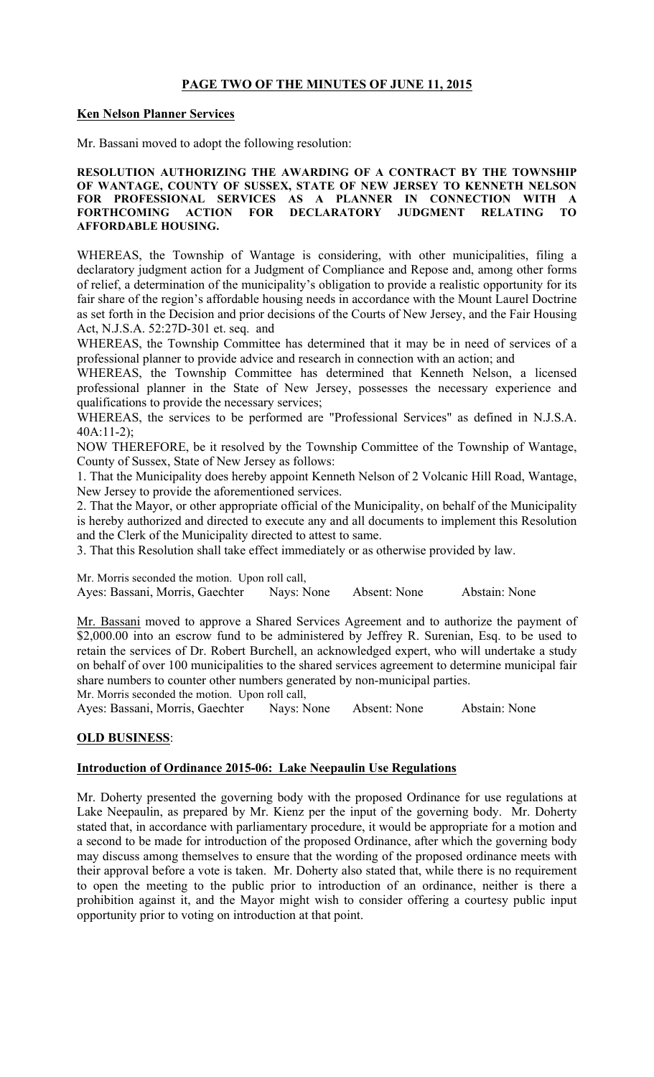### PAGE TWO OF THE MINUTES OF JUNE 11, 2015

#### Ken Nelson Planner Services

Mr. Bassani moved to adopt the following resolution:

#### RESOLUTION AUTHORIZING THE AWARDING OF A CONTRACT BY THE TOWNSHIP OF WANTAGE, COUNTY OF SUSSEX, STATE OF NEW JERSEY TO KENNETH NELSON FOR PROFESSIONAL SERVICES AS A PLANNER IN CONNECTION WITH A FORTHCOMING ACTION FOR DECLARATORY JUDGMENT RELATING TO AFFORDABLE HOUSING.

WHEREAS, the Township of Wantage is considering, with other municipalities, filing a declaratory judgment action for a Judgment of Compliance and Repose and, among other forms of relief, a determination of the municipality's obligation to provide a realistic opportunity for its fair share of the region's affordable housing needs in accordance with the Mount Laurel Doctrine as set forth in the Decision and prior decisions of the Courts of New Jersey, and the Fair Housing Act, N.J.S.A. 52:27D-301 et. seq. and

WHEREAS, the Township Committee has determined that it may be in need of services of a professional planner to provide advice and research in connection with an action; and

WHEREAS, the Township Committee has determined that Kenneth Nelson, a licensed professional planner in the State of New Jersey, possesses the necessary experience and qualifications to provide the necessary services;

WHEREAS, the services to be performed are "Professional Services" as defined in N.J.S.A. 40A:11-2);

NOW THEREFORE, be it resolved by the Township Committee of the Township of Wantage, County of Sussex, State of New Jersey as follows:

1. That the Municipality does hereby appoint Kenneth Nelson of 2 Volcanic Hill Road, Wantage, New Jersey to provide the aforementioned services.

2. That the Mayor, or other appropriate official of the Municipality, on behalf of the Municipality is hereby authorized and directed to execute any and all documents to implement this Resolution and the Clerk of the Municipality directed to attest to same.

3. That this Resolution shall take effect immediately or as otherwise provided by law.

Mr. Morris seconded the motion. Upon roll call, Ayes: Bassani, Morris, Gaechter Nays: None Absent: None Abstain: None

Mr. Bassani moved to approve a Shared Services Agreement and to authorize the payment of \$2,000.00 into an escrow fund to be administered by Jeffrey R. Surenian, Esq. to be used to retain the services of Dr. Robert Burchell, an acknowledged expert, who will undertake a study on behalf of over 100 municipalities to the shared services agreement to determine municipal fair share numbers to counter other numbers generated by non-municipal parties.

Mr. Morris seconded the motion. Upon roll call,

Ayes: Bassani, Morris, Gaechter Nays: None Absent: None Abstain: None

### OLD BUSINESS:

### Introduction of Ordinance 2015-06: Lake Neepaulin Use Regulations

Mr. Doherty presented the governing body with the proposed Ordinance for use regulations at Lake Neepaulin, as prepared by Mr. Kienz per the input of the governing body. Mr. Doherty stated that, in accordance with parliamentary procedure, it would be appropriate for a motion and a second to be made for introduction of the proposed Ordinance, after which the governing body may discuss among themselves to ensure that the wording of the proposed ordinance meets with their approval before a vote is taken. Mr. Doherty also stated that, while there is no requirement to open the meeting to the public prior to introduction of an ordinance, neither is there a prohibition against it, and the Mayor might wish to consider offering a courtesy public input opportunity prior to voting on introduction at that point.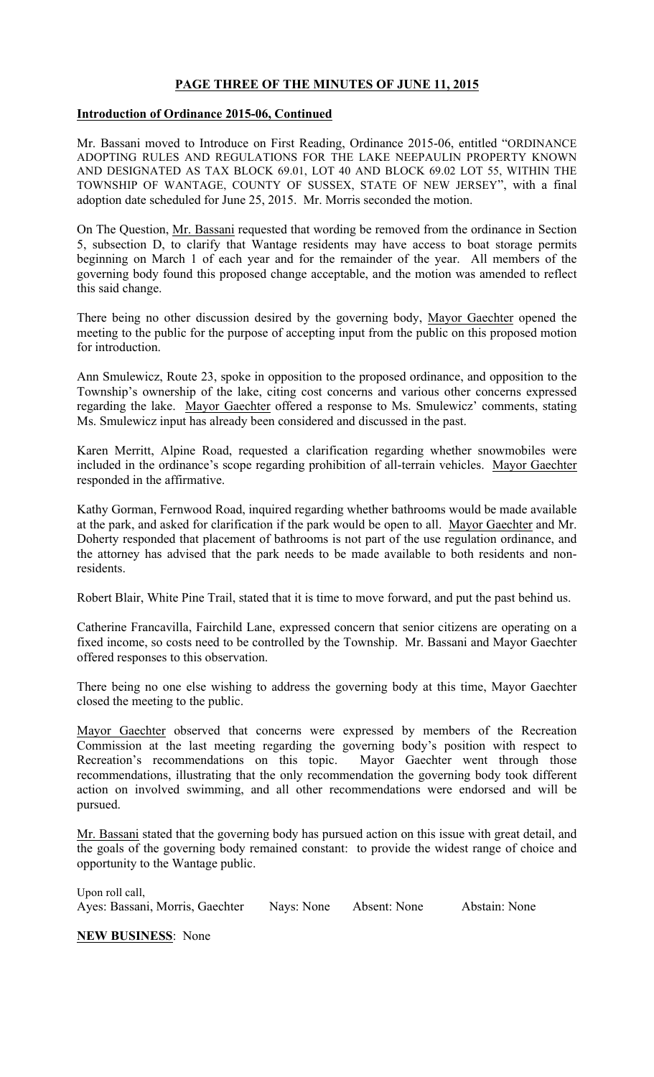### PAGE THREE OF THE MINUTES OF JUNE 11, 2015

#### Introduction of Ordinance 2015-06, Continued

Mr. Bassani moved to Introduce on First Reading, Ordinance 2015-06, entitled "ORDINANCE ADOPTING RULES AND REGULATIONS FOR THE LAKE NEEPAULIN PROPERTY KNOWN AND DESIGNATED AS TAX BLOCK 69.01, LOT 40 AND BLOCK 69.02 LOT 55, WITHIN THE TOWNSHIP OF WANTAGE, COUNTY OF SUSSEX, STATE OF NEW JERSEY", with a final adoption date scheduled for June 25, 2015. Mr. Morris seconded the motion.

On The Question, Mr. Bassani requested that wording be removed from the ordinance in Section 5, subsection D, to clarify that Wantage residents may have access to boat storage permits beginning on March 1 of each year and for the remainder of the year. All members of the governing body found this proposed change acceptable, and the motion was amended to reflect this said change.

There being no other discussion desired by the governing body, Mayor Gaechter opened the meeting to the public for the purpose of accepting input from the public on this proposed motion for introduction.

Ann Smulewicz, Route 23, spoke in opposition to the proposed ordinance, and opposition to the Township's ownership of the lake, citing cost concerns and various other concerns expressed regarding the lake. Mayor Gaechter offered a response to Ms. Smulewicz' comments, stating Ms. Smulewicz input has already been considered and discussed in the past.

Karen Merritt, Alpine Road, requested a clarification regarding whether snowmobiles were included in the ordinance's scope regarding prohibition of all-terrain vehicles. Mayor Gaechter responded in the affirmative.

Kathy Gorman, Fernwood Road, inquired regarding whether bathrooms would be made available at the park, and asked for clarification if the park would be open to all. Mayor Gaechter and Mr. Doherty responded that placement of bathrooms is not part of the use regulation ordinance, and the attorney has advised that the park needs to be made available to both residents and nonresidents.

Robert Blair, White Pine Trail, stated that it is time to move forward, and put the past behind us.

Catherine Francavilla, Fairchild Lane, expressed concern that senior citizens are operating on a fixed income, so costs need to be controlled by the Township. Mr. Bassani and Mayor Gaechter offered responses to this observation.

There being no one else wishing to address the governing body at this time, Mayor Gaechter closed the meeting to the public.

Mayor Gaechter observed that concerns were expressed by members of the Recreation Commission at the last meeting regarding the governing body's position with respect to Recreation's recommendations on this topic. Mayor Gaechter went through those recommendations, illustrating that the only recommendation the governing body took different action on involved swimming, and all other recommendations were endorsed and will be pursued.

Mr. Bassani stated that the governing body has pursued action on this issue with great detail, and the goals of the governing body remained constant: to provide the widest range of choice and opportunity to the Wantage public.

Upon roll call, Ayes: Bassani, Morris, Gaechter Nays: None Absent: None Abstain: None

NEW BUSINESS: None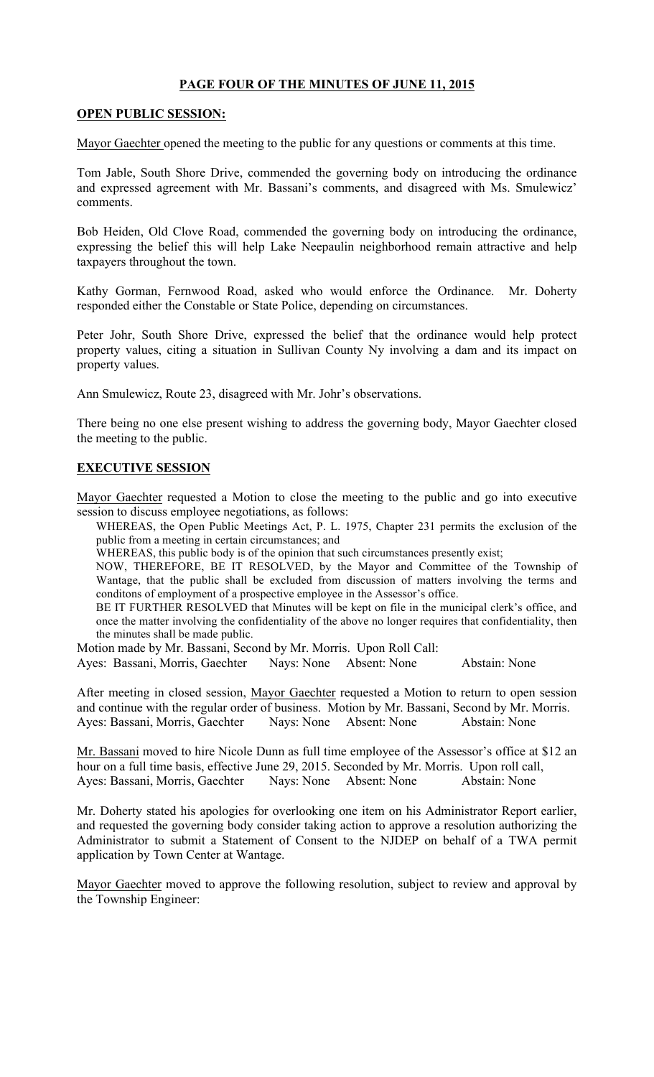### PAGE FOUR OF THE MINUTES OF JUNE 11, 2015

#### OPEN PUBLIC SESSION:

Mayor Gaechter opened the meeting to the public for any questions or comments at this time.

Tom Jable, South Shore Drive, commended the governing body on introducing the ordinance and expressed agreement with Mr. Bassani's comments, and disagreed with Ms. Smulewicz' comments.

Bob Heiden, Old Clove Road, commended the governing body on introducing the ordinance, expressing the belief this will help Lake Neepaulin neighborhood remain attractive and help taxpayers throughout the town.

Kathy Gorman, Fernwood Road, asked who would enforce the Ordinance. Mr. Doherty responded either the Constable or State Police, depending on circumstances.

Peter Johr, South Shore Drive, expressed the belief that the ordinance would help protect property values, citing a situation in Sullivan County Ny involving a dam and its impact on property values.

Ann Smulewicz, Route 23, disagreed with Mr. Johr's observations.

There being no one else present wishing to address the governing body, Mayor Gaechter closed the meeting to the public.

### EXECUTIVE SESSION

Mayor Gaechter requested a Motion to close the meeting to the public and go into executive session to discuss employee negotiations, as follows:

WHEREAS, the Open Public Meetings Act, P. L. 1975, Chapter 231 permits the exclusion of the public from a meeting in certain circumstances; and

WHEREAS, this public body is of the opinion that such circumstances presently exist;

NOW, THEREFORE, BE IT RESOLVED, by the Mayor and Committee of the Township of Wantage, that the public shall be excluded from discussion of matters involving the terms and conditons of employment of a prospective employee in the Assessor's office.

BE IT FURTHER RESOLVED that Minutes will be kept on file in the municipal clerk's office, and once the matter involving the confidentiality of the above no longer requires that confidentiality, then the minutes shall be made public.

Motion made by Mr. Bassani, Second by Mr. Morris. Upon Roll Call:

Ayes: Bassani, Morris, Gaechter Nays: None Absent: None Abstain: None

After meeting in closed session, Mayor Gaechter requested a Motion to return to open session and continue with the regular order of business. Motion by Mr. Bassani, Second by Mr. Morris. Ayes: Bassani, Morris, Gaechter Nays: None Absent: None Abstain: None

Mr. Bassani moved to hire Nicole Dunn as full time employee of the Assessor's office at \$12 an hour on a full time basis, effective June 29, 2015. Seconded by Mr. Morris. Upon roll call, Ayes: Bassani, Morris, Gaechter Nays: None Absent: None Abstain: None

Mr. Doherty stated his apologies for overlooking one item on his Administrator Report earlier, and requested the governing body consider taking action to approve a resolution authorizing the Administrator to submit a Statement of Consent to the NJDEP on behalf of a TWA permit application by Town Center at Wantage.

Mayor Gaechter moved to approve the following resolution, subject to review and approval by the Township Engineer: